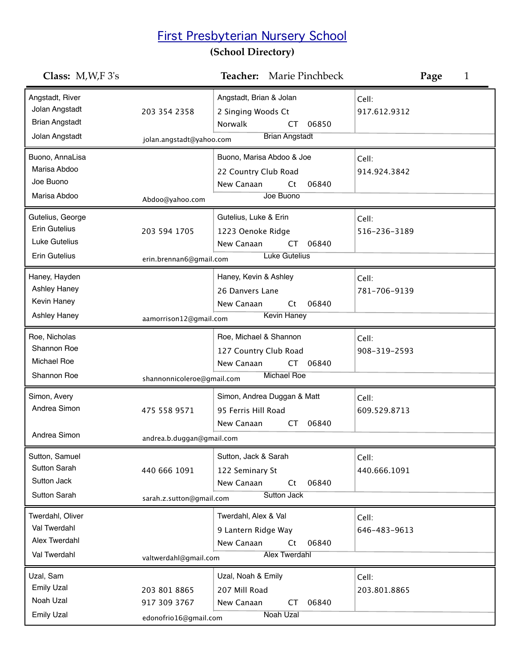## First Presbyterian Nursery School

## **(School Directory)**

| Class: $M, W, F$ 3's                                                         |                                                       | Teacher: Marie Pinchbeck                                                                       |                                | Page<br>1 |
|------------------------------------------------------------------------------|-------------------------------------------------------|------------------------------------------------------------------------------------------------|--------------------------------|-----------|
| Angstadt, River<br>Jolan Angstadt<br><b>Brian Angstadt</b><br>Jolan Angstadt | 203 354 2358<br>jolan.angstadt@yahoo.com              | Angstadt, Brian & Jolan<br>2 Singing Woods Ct<br><b>Norwalk</b><br>CT<br><b>Brian Angstadt</b> | Cell:<br>917.612.9312<br>06850 |           |
| Buono, AnnaLisa<br>Marisa Abdoo<br>Joe Buono<br>Marisa Abdoo                 | Abdoo@yahoo.com                                       | Buono, Marisa Abdoo & Joe<br>22 Country Club Road<br>New Canaan<br>Ct<br>Joe Buono             | Cell:<br>914.924.3842<br>06840 |           |
| Gutelius, George<br><b>Erin Gutelius</b><br>Luke Gutelius<br>Erin Gutelius   | 203 594 1705<br>erin.brennan6@gmail.com               | Gutelius, Luke & Erin<br>1223 Oenoke Ridge<br>New Canaan<br>CT<br><b>Luke Gutelius</b>         | Cell:<br>516-236-3189<br>06840 |           |
| Haney, Hayden<br>Ashley Haney<br>Kevin Haney<br>Ashley Haney                 | aamorrison12@gmail.com                                | Haney, Kevin & Ashley<br>26 Danvers Lane<br>New Canaan<br>Ct<br><b>Kevin Haney</b>             | Cell:<br>781-706-9139<br>06840 |           |
| Roe, Nicholas<br>Shannon Roe<br>Michael Roe<br>Shannon Roe                   | shannonnicoleroe@gmail.com                            | Roe, Michael & Shannon<br>127 Country Club Road<br>New Canaan<br>CT<br><b>Michael Roe</b>      | Cell:<br>908-319-2593<br>06840 |           |
| Simon, Avery<br>Andrea Simon<br>Andrea Simon                                 | 475 558 9571<br>andrea.b.duggan@gmail.com             | Simon, Andrea Duggan & Matt<br>95 Ferris Hill Road<br>New Canaan<br>СT                         | Cell:<br>609.529.8713<br>06840 |           |
| Sutton, Samuel<br><b>Sutton Sarah</b><br>Sutton Jack<br><b>Sutton Sarah</b>  | 440 666 1091<br>sarah.z.sutton@gmail.com              | Sutton, Jack & Sarah<br>122 Seminary St<br>New Canaan<br>Ct<br><b>Sutton Jack</b>              | Cell:<br>440.666.1091<br>06840 |           |
| Twerdahl, Oliver<br>Val Twerdahl<br>Alex Twerdahl<br>Val Twerdahl            | valtwerdahl@gmail.com                                 | Twerdahl, Alex & Val<br>9 Lantern Ridge Way<br>New Canaan<br>Ct<br><b>Alex Twerdahl</b>        | Cell:<br>646-483-9613<br>06840 |           |
| Uzal, Sam<br><b>Emily Uzal</b><br>Noah Uzal<br><b>Emily Uzal</b>             | 203 801 8865<br>917 309 3767<br>edonofrio16@gmail.com | Uzal, Noah & Emily<br>207 Mill Road<br>New Canaan<br>CT<br><b>Noah Uzal</b>                    | Cell:<br>203.801.8865<br>06840 |           |